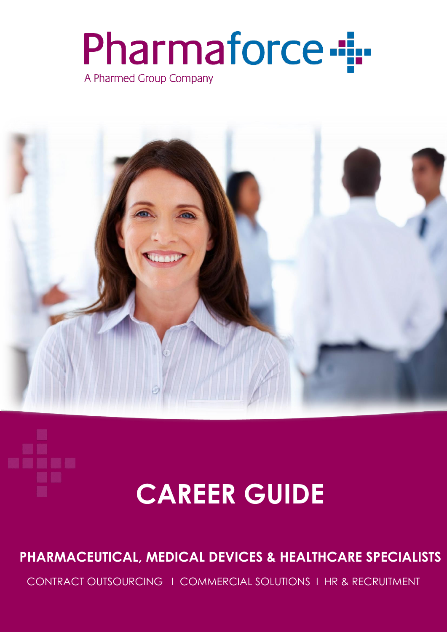# Pharmaforce --A Pharmed Group Company



# **CAREER GUIDE**

### **PHARMACEUTICAL, MEDICAL DEVICES & HEALTHCARE SPECIALISTS**

CONTRACT OUTSOURCING I COMMERCIAL SOLUTIONS I HR & RECRUITMENT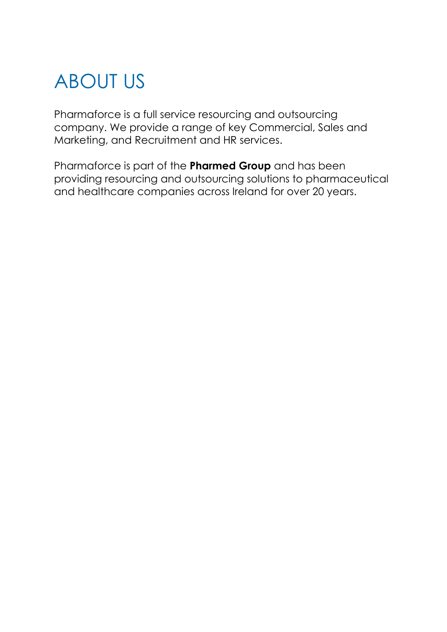# ABOUT US

Pharmaforce is a full service resourcing and outsourcing company. We provide a range of key Commercial, Sales and Marketing, and Recruitment and HR services.

Pharmaforce is part of the **Pharmed Group** and has been providing resourcing and outsourcing solutions to pharmaceutical and healthcare companies across Ireland for over 20 years.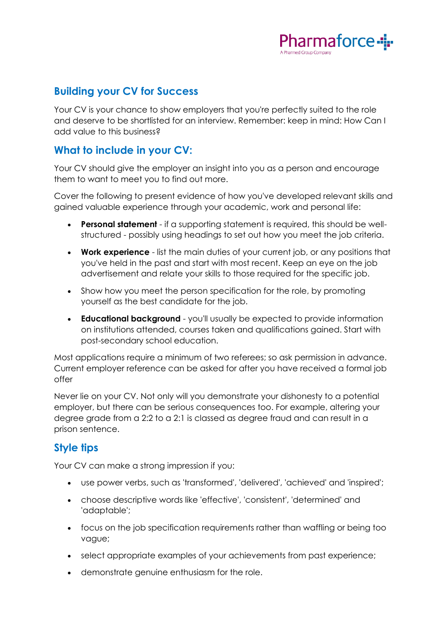

#### **Building your CV for Success**

Your CV is your chance to show employers that you're perfectly suited to the role and deserve to be shortlisted for an interview. Remember: keep in mind: How Can I add value to this business?

#### **What to include in your CV:**

Your CV should give the employer an insight into you as a person and encourage them to want to meet you to find out more.

Cover the following to present evidence of how you've developed relevant skills and gained valuable experience through your academic, work and personal life:

- **Personal statement** if a supporting statement is required, this should be wellstructured - possibly using headings to set out how you meet the job criteria.
- **Work experience** list the main duties of your current job, or any positions that you've held in the past and start with most recent. Keep an eye on the job advertisement and relate your skills to those required for the specific job.
- Show how you meet the person specification for the role, by promoting yourself as the best candidate for the job.
- **Educational background** you'll usually be expected to provide information on institutions attended, courses taken and qualifications gained. Start with post-secondary school education.

Most applications require a minimum of two referees; so ask permission in advance. Current employer reference can be asked for after you have received a formal job offer

Never lie on your CV. Not only will you demonstrate your dishonesty to a potential employer, but there can be serious consequences too. For example, altering your degree grade from a 2:2 to a 2:1 is classed as degree fraud and can result in a prison sentence.

#### **Style tips**

Your CV can make a strong impression if you:

- use power verbs, such as 'transformed', 'delivered', 'achieved' and 'inspired';
- choose descriptive words like 'effective', 'consistent', 'determined' and 'adaptable';
- focus on the job specification requirements rather than waffling or being too vague;
- select appropriate examples of your achievements from past experience;
- demonstrate genuine enthusiasm for the role.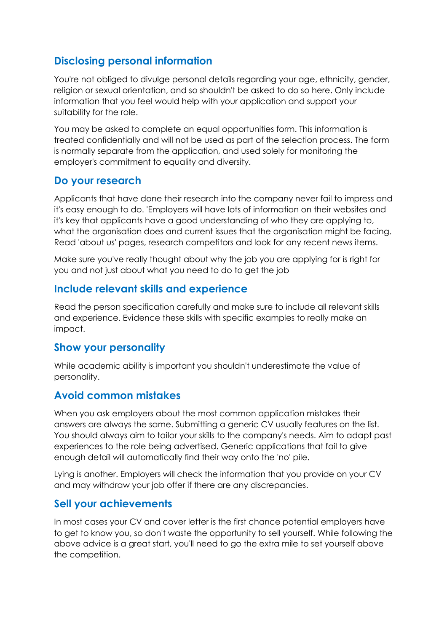#### **Disclosing personal information**

You're not obliged to divulge personal details regarding your age, ethnicity, gender, religion or sexual orientation, and so shouldn't be asked to do so here. Only include information that you feel would help with your application and support your suitability for the role.

You may be asked to complete an equal opportunities form. This information is treated confidentially and will not be used as part of the selection process. The form is normally separate from the application, and used solely for monitoring the employer's commitment to equality and diversity.

#### **Do your research**

Applicants that have done their research into the company never fail to impress and it's easy enough to do. 'Employers will have lots of information on their websites and it's key that applicants have a good understanding of who they are applying to, what the organisation does and current issues that the organisation might be facing. Read 'about us' pages, research competitors and look for any recent news items.

Make sure you've really thought about why the job you are applying for is right for you and not just about what you need to do to get the job

#### **Include relevant skills and experience**

Read the person specification carefully and make sure to include all relevant skills and experience. Evidence these skills with specific examples to really make an impact.

#### **Show your personality**

While academic ability is important you shouldn't underestimate the value of personality.

#### **Avoid common mistakes**

When you ask employers about the most common application mistakes their answers are always the same. Submitting a generic CV usually features on the list. You should always aim to tailor your skills to the company's needs. Aim to adapt past experiences to the role being advertised. Generic applications that fail to give enough detail will automatically find their way onto the 'no' pile.

Lying is another. Employers will check the information that you provide on your CV and may withdraw your job offer if there are any discrepancies.

#### **Sell your achievements**

In most cases your CV and cover letter is the first chance potential employers have to get to know you, so don't waste the opportunity to sell yourself. While following the above advice is a great start, you'll need to go the extra mile to set yourself above the competition.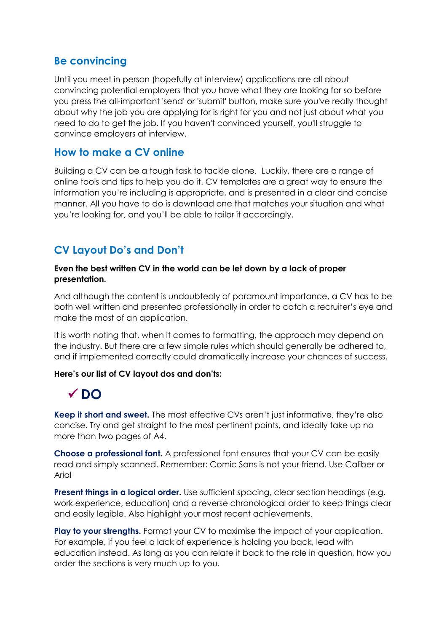#### **Be convincing**

Until you meet in person (hopefully at interview) applications are all about convincing potential employers that you have what they are looking for so before you press the all-important 'send' or 'submit' button, make sure you've really thought about why the job you are applying for is right for you and not just about what you need to do to get the job. If you haven't convinced yourself, you'll struggle to convince employers at interview.

#### **How to make a CV online**

Building a CV can be a tough task to tackle alone. Luckily, there are a range of online tools and tips to help you do it. CV templates are a great way to ensure the information you're including is appropriate, and is presented in a clear and concise manner. All you have to do is download one that matches your situation and what you're looking for, and you'll be able to tailor it accordingly.

#### **CV Layout Do's and Don't**

#### **Even the best written CV in the world can be let down by a lack of proper presentation.**

And although the content is undoubtedly of paramount importance, a CV has to be both well written and presented professionally in order to catch a recruiter's eye and make the most of an application.

It is worth noting that, when it comes to formatting, the approach may depend on the industry. But there are a few simple rules which should generally be adhered to, and if implemented correctly could dramatically increase your chances of success.

#### **Here's our list of CV layout dos and don'ts:**

### **DO**

**Keep it short and sweet.** The most effective CVs aren't just informative, they're also concise. Try and get straight to the most pertinent points, and ideally take up no more than two pages of A4.

**Choose a professional font.** A professional font ensures that your CV can be easily read and simply scanned. Remember: Comic Sans is not your friend. Use Caliber or **Arial** 

**Present things in a logical order.** Use sufficient spacing, clear section headings (e.g. work experience, education) and a reverse chronological order to keep things clear and easily legible. Also highlight your most recent achievements.

**Play to your strengths.** Format your CV to maximise the impact of your application. For example, if you feel a lack of experience is holding you back, lead with education instead. As long as you can relate it back to the role in question, how you order the sections is very much up to you.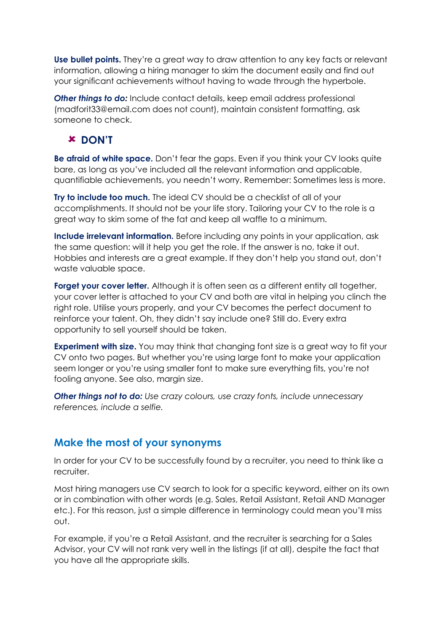Use bullet points. They're a great way to draw attention to any key facts or relevant information, allowing a hiring manager to skim the document easily and find out your significant achievements without having to wade through the hyperbole.

*Other things to do:* Include contact details, keep email address professional (madforit33@email.com does not count), maintain consistent formatting, ask someone to check.

#### **DON'T**

**Be afraid of white space.** Don't fear the gaps. Even if you think your CV looks quite bare, as long as you've included all the relevant information and applicable, quantifiable achievements, you needn't worry. Remember: Sometimes less is more.

**Try to include too much.** The ideal CV should be a checklist of all of your accomplishments. It should not be your life story. Tailoring your CV to the role is a great way to skim some of the fat and keep all waffle to a minimum.

**Include irrelevant information.** Before including any points in your application, ask the same question: will it help you get the role. If the answer is no, take it out. Hobbies and interests are a great example. If they don't help you stand out, don't waste valuable space.

**Forget your cover letter.** Although it is often seen as a different entity all together, your cover letter is attached to your CV and both are vital in helping you clinch the right role. Utilise yours properly, and your CV becomes the perfect document to reinforce your talent. Oh, they didn't say include one? Still do. Every extra opportunity to sell yourself should be taken.

**Experiment with size.** You may think that changing font size is a great way to fit your CV onto two pages. But whether you're using large font to make your application seem longer or you're using smaller font to make sure everything fits, you're not fooling anyone. See also, margin size.

*Other things not to do: Use crazy colours, use crazy fonts, include unnecessary references, include a selfie.*

#### **Make the most of your synonyms**

In order for your CV to be successfully found by a recruiter, you need to think like a recruiter.

Most hiring managers use CV search to look for a specific keyword, either on its own or in combination with other words (e.g. Sales, Retail Assistant, Retail AND Manager etc.). For this reason, just a simple difference in terminology could mean you'll miss out.

For example, if you're a Retail Assistant, and the recruiter is searching for a Sales Advisor, your CV will not rank very well in the listings (if at all), despite the fact that you have all the appropriate skills.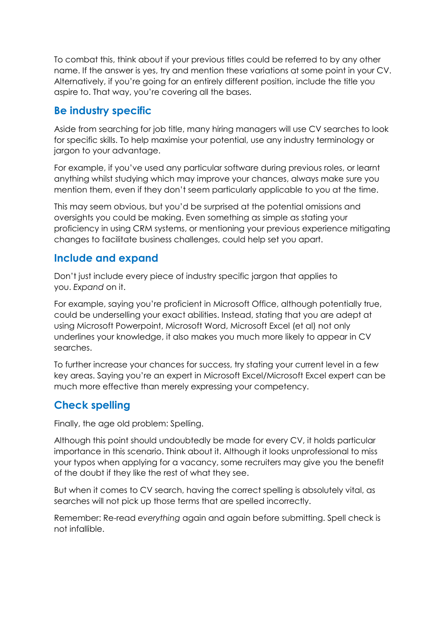To combat this, think about if your previous titles could be referred to by any other name. If the answer is yes, try and mention these variations at some point in your CV. Alternatively, if you're going for an entirely different position, include the title you aspire to. That way, you're covering all the bases.

#### **Be industry specific**

Aside from searching for job title, many hiring managers will use CV searches to look for specific skills. To help maximise your potential, use any industry terminology or jargon to your advantage.

For example, if you've used any particular software during previous roles, or learnt anything whilst studying which may improve your chances, always make sure you mention them, even if they don't seem particularly applicable to you at the time.

This may seem obvious, but you'd be surprised at the potential omissions and oversights you could be making. Even something as simple as stating your proficiency in using CRM systems, or mentioning your previous experience mitigating changes to facilitate business challenges, could help set you apart.

#### **Include and expand**

Don't just include every piece of industry specific jargon that applies to you. *Expand* on it.

For example, saying you're proficient in Microsoft Office, although potentially true, could be underselling your exact abilities. Instead, stating that you are adept at using Microsoft Powerpoint, Microsoft Word, Microsoft Excel (et al) not only underlines your knowledge, it also makes you much more likely to appear in CV searches.

To further increase your chances for success, try stating your current level in a few key areas. Saying you're an expert in Microsoft Excel/Microsoft Excel expert can be much more effective than merely expressing your competency.

#### **Check spelling**

Finally, the age old problem: Spelling.

Although this point should undoubtedly be made for every CV, it holds particular importance in this scenario. Think about it. Although it looks unprofessional to miss your typos when applying for a vacancy, some recruiters may give you the benefit of the doubt if they like the rest of what they see.

But when it comes to CV search, having the correct spelling is absolutely vital, as searches will not pick up those terms that are spelled incorrectly.

Remember: Re-read *everything* again and again before submitting. Spell check is not infallible.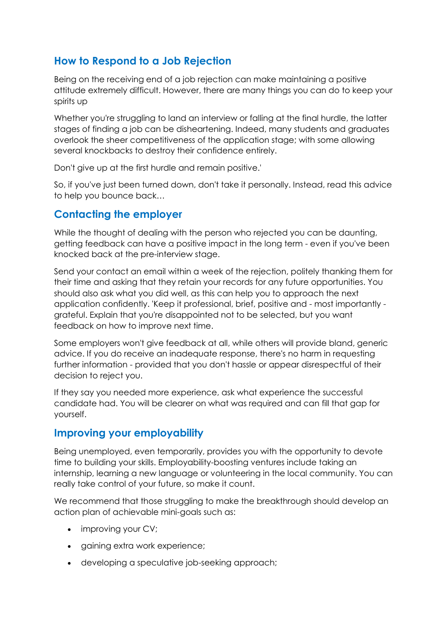#### **How to Respond to a Job Rejection**

Being on the receiving end of a job rejection can make maintaining a positive attitude extremely difficult. However, there are many things you can do to keep your spirits up

Whether you're struggling to land an interview or falling at the final hurdle, the latter stages of finding a job can be disheartening. Indeed, many students and graduates overlook the sheer competitiveness of the application stage; with some allowing several knockbacks to destroy their confidence entirely.

Don't give up at the first hurdle and remain positive.'

So, if you've just been turned down, don't take it personally. Instead, read this advice to help you bounce back…

#### **Contacting the employer**

While the thought of dealing with the person who rejected you can be daunting, getting feedback can have a positive impact in the long term - even if you've been knocked back at the pre-interview stage.

Send your contact an email within a week of the rejection, politely thanking them for their time and asking that they retain your records for any future opportunities. You should also ask what you did well, as this can help you to approach the next application confidently. 'Keep it professional, brief, positive and - most importantly grateful. Explain that you're disappointed not to be selected, but you want feedback on how to improve next time.

Some employers won't give feedback at all, while others will provide bland, generic advice. If you do receive an inadequate response, there's no harm in requesting further information - provided that you don't hassle or appear disrespectful of their decision to reject you.

If they say you needed more experience, ask what experience the successful candidate had. You will be clearer on what was required and can fill that gap for yourself.

#### **Improving your employability**

Being unemployed, even temporarily, provides you with the opportunity to devote time to building your skills. Employability-boosting ventures include taking an internship, learning a new language or volunteering in the local community. You can really take control of your future, so make it count.

We recommend that those struggling to make the breakthrough should develop an action plan of achievable mini-goals such as:

- improving your CV;
- gaining extra work experience;
- developing a speculative job-seeking approach;